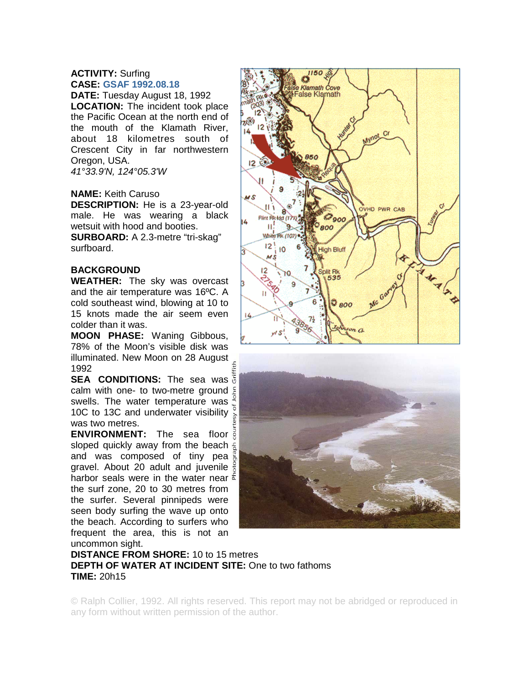## **ACTIVITY:** Surfing **CASE: GSAF 1992.08.18**

**DATE:** Tuesday August 18, 1992 **LOCATION:** The incident took place the Pacific Ocean at the north end of the mouth of the Klamath River, about 18 kilometres south of Crescent City in far northwestern Oregon, USA. *41°33.9'N, 124°05.3'W*

## **NAME:** Keith Caruso

**DESCRIPTION:** He is a 23-year-old male. He was wearing a black wetsuit with hood and booties. **SURBOARD:** A 2.3-metre "tri-skag" surfboard.

## **BACKGROUND**

**WEATHER:** The sky was overcast and the air temperature was 16ºC. A cold southeast wind, blowing at 10 to 15 knots made the air seem even colder than it was.

**MOON PHASE:** Waning Gibbous, 78% of the Moon's visible disk was illuminated. New Moon on 28 August 1992

**SEA CONDITIONS:** The sea was  $\overline{5}$ calm with one- to two-metre ground  $\epsilon$ swells. The water temperature was  $\frac{9}{5}$ 10C to 13C and underwater visibility  $\frac{9}{6}$ was two metres.

**ENVIRONMENT:** The sea floor sloped quickly away from the beach  $\frac{2}{3}$ and was composed of tiny pea  $\frac{8}{9}$ aravel. About 20 adult and juvenile  $\frac{9}{6}$ harbor seals were in the water near  $\frac{2}{3}$ the surf zone, 20 to 30 metres from the surfer. Several pinnipeds were seen body surfing the wave up onto the beach. According to surfers who frequent the area, this is not an uncommon sight.





## **DISTANCE FROM SHORE:** 10 to 15 metres **DEPTH OF WATER AT INCIDENT SITE:** One to two fathoms **TIME:** 20h15

© Ralph Collier, 1992. All rights reserved. This report may not be abridged or reproduced in any form without written permission of the author.